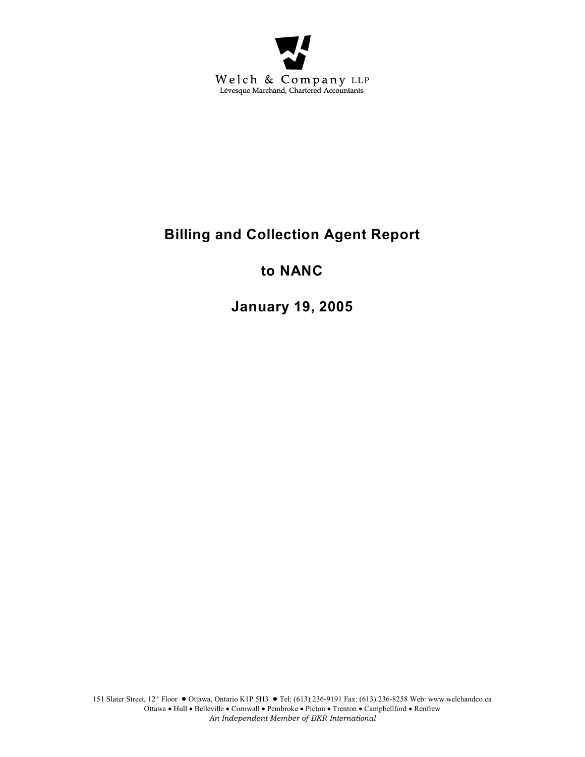

# **Billing and Collection Agent Report**

## **to NANC**

**January 19, 2005**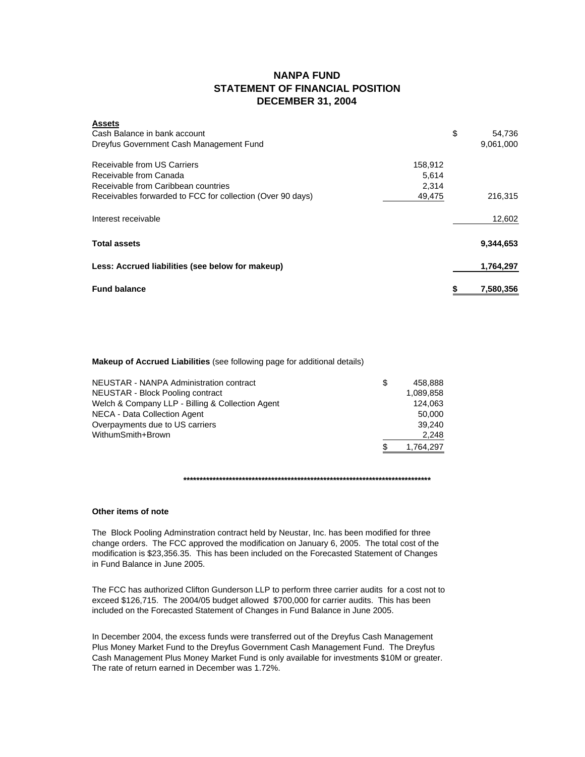## **NANPA FUND STATEMENT OF FINANCIAL POSITION DECEMBER 31, 2004**

| <b>Fund balance</b>                                        |         | 7.580.356    |
|------------------------------------------------------------|---------|--------------|
| Less: Accrued liabilities (see below for makeup)           |         | 1,764,297    |
| <b>Total assets</b>                                        |         | 9,344,653    |
| Interest receivable                                        |         | 12,602       |
| Receivables forwarded to FCC for collection (Over 90 days) | 49,475  | 216,315      |
| Receivable from Caribbean countries                        | 2.314   |              |
| Receivable from Canada                                     | 5,614   |              |
| Receivable from US Carriers                                | 158.912 |              |
| Dreyfus Government Cash Management Fund                    |         | 9,061,000    |
| Cash Balance in bank account                               |         | \$<br>54.736 |
|                                                            |         |              |

### **Makeup of Accrued Liabilities** (see following page for additional details)

| NEUSTAR - NANPA Administration contract          | \$. | 458.888   |
|--------------------------------------------------|-----|-----------|
| <b>NEUSTAR - Block Pooling contract</b>          |     | 1.089.858 |
| Welch & Company LLP - Billing & Collection Agent |     | 124.063   |
| NECA - Data Collection Agent                     |     | 50,000    |
| Overpayments due to US carriers                  |     | 39.240    |
| WithumSmith+Brown                                |     | 2.248     |
|                                                  | \$. | 1.764.297 |

**\*\*\*\*\*\*\*\*\*\*\*\*\*\*\*\*\*\*\*\*\*\*\*\*\*\*\*\*\*\*\*\*\*\*\*\*\*\*\*\*\*\*\*\*\*\*\*\*\*\*\*\*\*\*\*\*\*\*\*\*\*\*\*\*\*\*\*\*\*\*\*\*\*\*\*\***

## **Other items of note**

**Assets**

The Block Pooling Adminstration contract held by Neustar, Inc. has been modified for three change orders. The FCC approved the modification on January 6, 2005. The total cost of the modification is \$23,356.35. This has been included on the Forecasted Statement of Changes in Fund Balance in June 2005.

The FCC has authorized Clifton Gunderson LLP to perform three carrier audits for a cost not to exceed \$126,715. The 2004/05 budget allowed \$700,000 for carrier audits. This has been included on the Forecasted Statement of Changes in Fund Balance in June 2005.

In December 2004, the excess funds were transferred out of the Dreyfus Cash Management Plus Money Market Fund to the Dreyfus Government Cash Management Fund. The Dreyfus Cash Management Plus Money Market Fund is only available for investments \$10M or greater. The rate of return earned in December was 1.72%.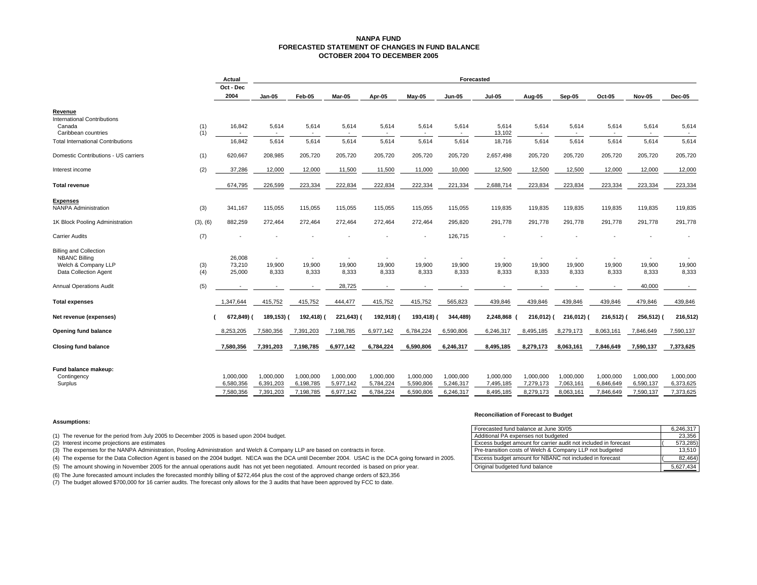#### **NANPA FUND FORECASTED STATEMENT OF CHANGES IN FUND BALANCEOCTOBER 2004 TO DECEMBER 2005**

|                                                                     |            | Actual                 | Forecasted             |                          |                          |                        |                          |                          |                          |                        |                        |                        |                         |                        |
|---------------------------------------------------------------------|------------|------------------------|------------------------|--------------------------|--------------------------|------------------------|--------------------------|--------------------------|--------------------------|------------------------|------------------------|------------------------|-------------------------|------------------------|
|                                                                     |            | Oct - Dec<br>2004      | $Jan-05$               | Feb-05                   | Mar-05                   | Apr-05                 | $May-05$                 | <b>Jun-05</b>            | <b>Jul-05</b>            | Aug-05                 | Sep-05                 | Oct-05                 | <b>Nov-05</b>           | Dec-05                 |
| Revenue                                                             |            |                        |                        |                          |                          |                        |                          |                          |                          |                        |                        |                        |                         |                        |
| <b>International Contributions</b><br>Canada<br>Caribbean countries | (1)<br>(1) | 16,842                 | 5,614                  | 5,614                    | 5,614                    | 5,614                  | 5,614                    | 5,614<br>$\sim$          | 5,614<br>13,102          | 5,614<br>$\sim$        | 5,614                  | 5,614                  | 5,614<br>$\overline{a}$ | 5,614                  |
| <b>Total International Contributions</b>                            |            | 16,842                 | 5,614                  | 5,614                    | 5,614                    | 5,614                  | 5,614                    | 5,614                    | 18,716                   | 5,614                  | 5,614                  | 5,614                  | 5,614                   | 5,614                  |
| Domestic Contributions - US carriers                                | (1)        | 620.667                | 208.985                | 205.720                  | 205,720                  | 205.720                | 205.720                  | 205,720                  | 2.657.498                | 205,720                | 205,720                | 205,720                | 205.720                 | 205,720                |
| Interest income                                                     | (2)        | 37,286                 | 12,000                 | 12,000                   | 11,500                   | 11,500                 | 11,000                   | 10,000                   | 12,500                   | 12,500                 | 12,500                 | 12,000                 | 12,000                  | 12,000                 |
| <b>Total revenue</b>                                                |            | 674,795                | 226,599                | 223,334                  | 222,834                  | 222,834                | 222,334                  | 221,334                  | 2,688,714                | 223,834                | 223,834                | 223,334                | 223,334                 | 223,334                |
| <b>Expenses</b>                                                     |            |                        |                        |                          |                          |                        |                          |                          |                          |                        |                        |                        |                         |                        |
| <b>NANPA Administration</b>                                         | (3)        | 341,167                | 115,055                | 115,055                  | 115,055                  | 115,055                | 115,055                  | 115,055                  | 119,835                  | 119,835                | 119,835                | 119,835                | 119,835                 | 119,835                |
| 1K Block Pooling Administration                                     | (3), (6)   | 882,259                | 272,464                | 272,464                  | 272,464                  | 272,464                | 272,464                  | 295,820                  | 291,778                  | 291,778                | 291,778                | 291,778                | 291,778                 | 291,778                |
| <b>Carrier Audits</b>                                               | (7)        |                        |                        |                          |                          |                        |                          | 126,715                  |                          |                        |                        |                        |                         |                        |
| <b>Billing and Collection</b><br><b>NBANC Billing</b>               |            | 26,008                 | $\overline{a}$         | $\overline{\phantom{a}}$ | $\overline{\phantom{a}}$ |                        | $\overline{\phantom{a}}$ | $\overline{\phantom{a}}$ | $\overline{\phantom{a}}$ | $\sim$                 | $\sim$                 | $\sim$                 | $\overline{a}$          |                        |
| Welch & Company LLP                                                 | (3)        | 73,210                 | 19,900                 | 19,900                   | 19,900                   | 19,900                 | 19,900                   | 19,900                   | 19,900                   | 19,900                 | 19,900                 | 19,900                 | 19,900                  | 19,900                 |
| Data Collection Agent                                               | (4)        | 25,000                 | 8,333                  | 8,333                    | 8,333                    | 8,333                  | 8,333                    | 8,333                    | 8,333                    | 8,333                  | 8,333                  | 8,333                  | 8,333                   | 8,333                  |
| Annual Operations Audit                                             | (5)        |                        |                        |                          | 28,725                   |                        |                          |                          |                          |                        |                        |                        | 40,000                  |                        |
| <b>Total expenses</b>                                               |            | 1,347,644              | 415,752                | 415,752                  | 444,477                  | 415,752                | 415,752                  | 565,823                  | 439,846                  | 439,846                | 439,846                | 439,846                | 479,846                 | 439,846                |
| Net revenue (expenses)                                              |            | 672,849)               | 189,153)               | 192,418)                 | 221,643)                 | 192,918)               | 193,418)                 | 344,489)                 | 2,248,868                | 216,012)               | 216,012)               | 216,512)               | 256,512) (              | 216,512)               |
| Opening fund balance                                                |            | 8,253,205              | 7,580,356              | 7,391,203                | 7,198,785                | 6,977,142              | 6,784,224                | 6,590,806                | 6,246,317                | 8,495,185              | 8,279,173              | 8,063,161              | 7,846,649               | 7,590,137              |
| <b>Closing fund balance</b>                                         |            | 7,580,356              | 7,391,203              | 7,198,785                | 6,977,142                | 6,784,224              | 6,590,806                | 6,246,317                | 8,495,185                | 8,279,173              | 8,063,161              | 7,846,649              | 7,590,137               | 7,373,625              |
| Fund balance makeup:                                                |            |                        |                        |                          |                          |                        |                          |                          |                          |                        |                        |                        |                         |                        |
| Contingency<br>Surplus                                              |            | 1,000,000<br>6,580,356 | 1,000,000<br>6,391,203 | 1,000,000<br>6,198,785   | 1,000,000<br>5,977,142   | 1,000,000<br>5,784,224 | 1,000,000<br>5,590,806   | 1,000,000<br>5,246,317   | 1,000,000<br>7,495,185   | 1,000,000<br>7,279,173 | 1,000,000<br>7,063,161 | 1,000,000<br>6,846,649 | 1,000,000<br>6,590,137  | 1,000,000<br>6,373,625 |
|                                                                     |            | 7,580,356              | 7,391,203              | 7,198,785                | 6,977,142                | 6,784,224              | 6,590,806                | 6,246,317                | 8,495,185                | 8,279,173              | 8,063,161              | 7,846,649              | 7,590,137               | 7,373,625              |

#### **Assumptions:**

(1) The revenue for the period from July 2005 to December 2005 is based upon 2004 budget.

 $(2)$  Interest income projections are estimates

(3) The expenses for the NANPA Administration, Pooling Administration and Welch & Company LLP are based on contracts in force. 13,510

(4) The expense for the Data Collection Agent is based on the 2004 budget. NECA was the DCA until December 2004. USAC is the DCA going forward in 2005.

(5) The amount showing in November 2005 for the annual operations audit has not yet been negotiated. Amount recorded is based on prior year.

(6) The June forecasted amount includes the forecasted monthly billing of \$272,464 plus the cost of the approved change orders of \$23,356

(7) The budget allowed \$700,000 for 16 carrier audits. The forecast only allows for the 3 audits that have been approved by FCC to date.

#### **Reconciliation of Forecast to Budget**

| Forecasted fund balance at June 30/05                           | 6.246.317 |
|-----------------------------------------------------------------|-----------|
| Additional PA expenses not budgeted                             | 23.356    |
| Excess budget amount for carrier audit not included in forecast | 573,285)  |
| Pre-transition costs of Welch & Company LLP not budgeted        | 13.510    |
| Excess budget amount for NBANC not included in forecast         | 82,464)   |
| Original budgeted fund balance                                  | 5,627,434 |